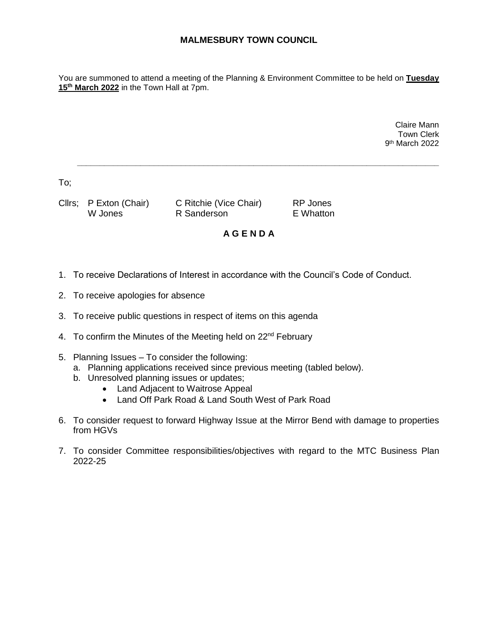## **MALMESBURY TOWN COUNCIL**

You are summoned to attend a meeting of the Planning & Environment Committee to be held on **Tuesday 15th March 2022** in the Town Hall at 7pm.

> Claire Mann Town Clerk 9 th March 2022

To;

Cllrs; P Exton (Chair) C Ritchie (Vice Chair) RP Jones W Jones **R** Sanderson **E** Whatton

## **A G E N D A**

**\_\_\_\_\_\_\_\_\_\_\_\_\_\_\_\_\_\_\_\_\_\_\_\_\_\_\_\_\_\_\_\_\_\_\_\_\_\_\_\_\_\_\_\_\_\_\_\_\_\_\_\_\_\_\_\_\_\_\_\_\_\_\_\_\_\_\_\_\_\_\_\_\_\_\_\_\_\_\_\_**

- 1. To receive Declarations of Interest in accordance with the Council's Code of Conduct.
- 2. To receive apologies for absence
- 3. To receive public questions in respect of items on this agenda
- 4. To confirm the Minutes of the Meeting held on 22<sup>nd</sup> February
- 5. Planning Issues To consider the following:
	- a. Planning applications received since previous meeting (tabled below).
	- b. Unresolved planning issues or updates;
		- Land Adjacent to Waitrose Appeal
		- Land Off Park Road & Land South West of Park Road
- 6. To consider request to forward Highway Issue at the Mirror Bend with damage to properties from HGVs
- 7. To consider Committee responsibilities/objectives with regard to the MTC Business Plan 2022-25